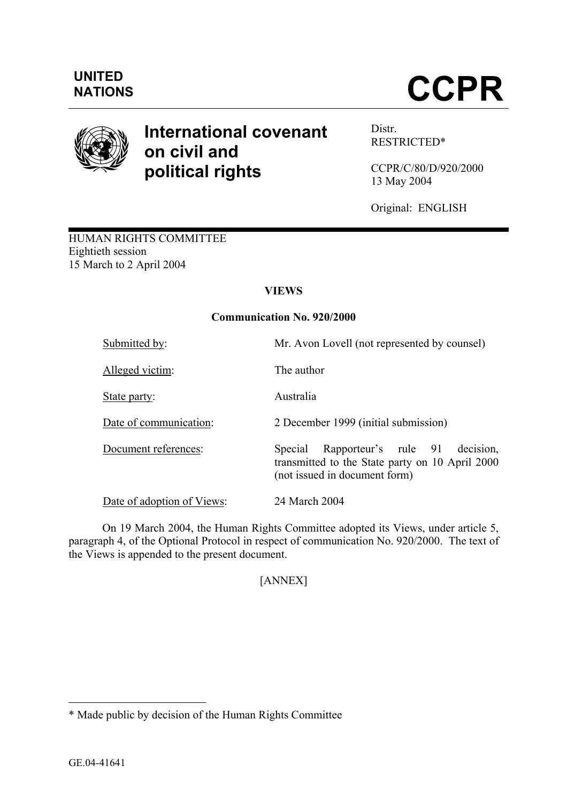

# **International covenant on civil and political rights**

Distr. RESTRICTED[\\*](#page-0-0) 

CCPR/C/80/D/920/2000 13 May 2004

Original: ENGLISH

HUMAN RIGHTS COMMITTEE Eightieth session 15 March to 2 April 2004

# **VIEWS**

# **Communication No. 920/2000**

| Submitted by:              | Mr. Avon Lovell (not represented by counsel)                                                                                     |
|----------------------------|----------------------------------------------------------------------------------------------------------------------------------|
| Alleged victim:            | The author                                                                                                                       |
| State party:               | Australia                                                                                                                        |
| Date of communication:     | 2 December 1999 (initial submission)                                                                                             |
| Document references:       | Rapporteur's rule 91<br>decision.<br>Special<br>transmitted to the State party on 10 April 2000<br>(not issued in document form) |
| Date of adoption of Views: | 24 March 2004                                                                                                                    |

On 19 March 2004, the Human Rights Committee adopted its Views, under article 5, paragraph 4, of the Optional Protocol in respect of communication No. 920/2000. The text of the Views is appended to the present document.

# [ANNEX]

 $\overline{a}$ 

<span id="page-0-0"></span><sup>\*</sup> Made public by decision of the Human Rights Committee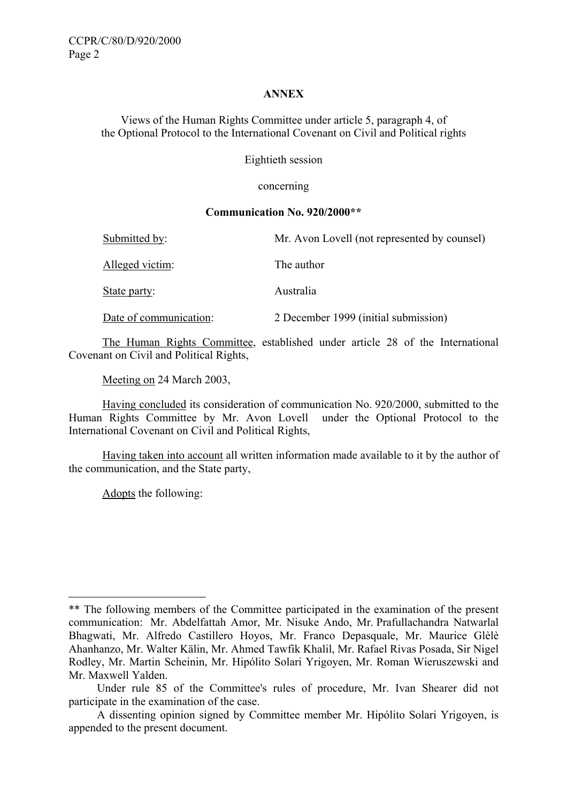## **ANNEX**

Views of the Human Rights Committee under article 5, paragraph 4, of the Optional Protocol to the International Covenant on Civil and Political rights

Eightieth session

concerning

### **Communication No. 920/200[0\\*\\*](#page-1-0)**

| Submitted by:          | Mr. Avon Lovell (not represented by counsel) |
|------------------------|----------------------------------------------|
| Alleged victim:        | The author                                   |
| <u>State party:</u>    | Australia                                    |
| Date of communication: | 2 December 1999 (initial submission)         |

The Human Rights Committee, established under article 28 of the International Covenant on Civil and Political Rights,

Meeting on 24 March 2003,

Having concluded its consideration of communication No. 920/2000, submitted to the Human Rights Committee by Mr. Avon Lovell under the Optional Protocol to the International Covenant on Civil and Political Rights,

Having taken into account all written information made available to it by the author of the communication, and the State party,

Adopts the following:

 $\overline{a}$ 

<span id="page-1-0"></span><sup>\*\*</sup> The following members of the Committee participated in the examination of the present communication: Mr. Abdelfattah Amor, Mr. Nisuke Ando, Mr. Prafullachandra Natwarlal Bhagwati, Mr. Alfredo Castillero Hoyos, Mr. Franco Depasquale, Mr. Maurice Glèlè Ahanhanzo, Mr. Walter Kälin, Mr. Ahmed Tawfik Khalil, Mr. Rafael Rivas Posada, Sir Nigel Rodley, Mr. Martin Scheinin, Mr. Hipólito Solari Yrigoyen, Mr. Roman Wieruszewski and Mr. Maxwell Yalden.

Under rule 85 of the Committee's rules of procedure, Mr. Ivan Shearer did not participate in the examination of the case.

A dissenting opinion signed by Committee member Mr. Hipólito Solari Yrigoyen, is appended to the present document.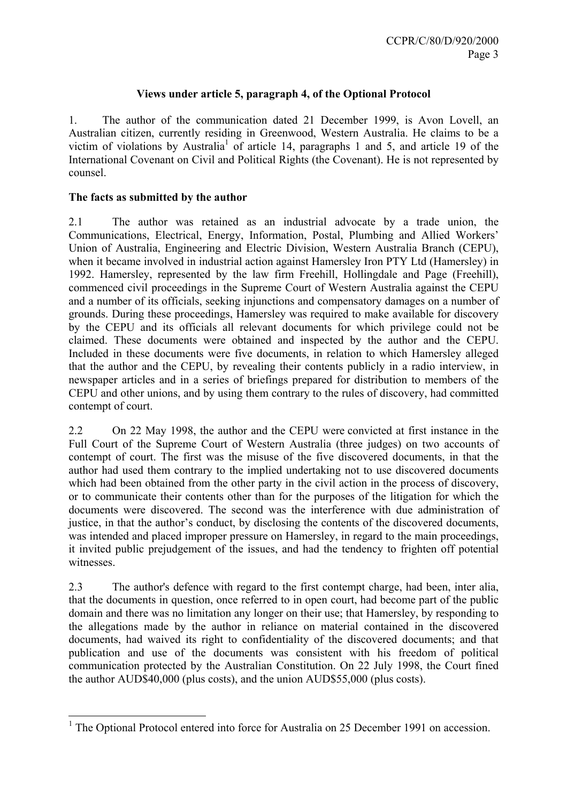## **Views under article 5, paragraph 4, of the Optional Protocol**

1. The author of the communication dated 21 December 1999, is Avon Lovell, an Australian citizen, currently residing in Greenwood, Western Australia. He claims to be a victim of violations by Australia<sup>[1](#page-2-0)</sup> of article 14, paragraphs 1 and 5, and article 19 of the International Covenant on Civil and Political Rights (the Covenant). He is not represented by counsel.

## **The facts as submitted by the author**

2.1 The author was retained as an industrial advocate by a trade union, the Communications, Electrical, Energy, Information, Postal, Plumbing and Allied Workers' Union of Australia, Engineering and Electric Division, Western Australia Branch (CEPU), when it became involved in industrial action against Hamersley Iron PTY Ltd (Hamersley) in 1992. Hamersley, represented by the law firm Freehill, Hollingdale and Page (Freehill), commenced civil proceedings in the Supreme Court of Western Australia against the CEPU and a number of its officials, seeking injunctions and compensatory damages on a number of grounds. During these proceedings, Hamersley was required to make available for discovery by the CEPU and its officials all relevant documents for which privilege could not be claimed. These documents were obtained and inspected by the author and the CEPU. Included in these documents were five documents, in relation to which Hamersley alleged that the author and the CEPU, by revealing their contents publicly in a radio interview, in newspaper articles and in a series of briefings prepared for distribution to members of the CEPU and other unions, and by using them contrary to the rules of discovery, had committed contempt of court.

2.2 On 22 May 1998, the author and the CEPU were convicted at first instance in the Full Court of the Supreme Court of Western Australia (three judges) on two accounts of contempt of court. The first was the misuse of the five discovered documents, in that the author had used them contrary to the implied undertaking not to use discovered documents which had been obtained from the other party in the civil action in the process of discovery, or to communicate their contents other than for the purposes of the litigation for which the documents were discovered. The second was the interference with due administration of justice, in that the author's conduct, by disclosing the contents of the discovered documents, was intended and placed improper pressure on Hamersley, in regard to the main proceedings, it invited public prejudgement of the issues, and had the tendency to frighten off potential witnesses.

2.3 The author's defence with regard to the first contempt charge, had been, inter alia, that the documents in question, once referred to in open court, had become part of the public domain and there was no limitation any longer on their use; that Hamersley, by responding to the allegations made by the author in reliance on material contained in the discovered documents, had waived its right to confidentiality of the discovered documents; and that publication and use of the documents was consistent with his freedom of political communication protected by the Australian Constitution. On 22 July 1998, the Court fined the author AUD\$40,000 (plus costs), and the union AUD\$55,000 (plus costs).

<span id="page-2-0"></span> $\overline{a}$ <sup>1</sup> The Optional Protocol entered into force for Australia on 25 December 1991 on accession.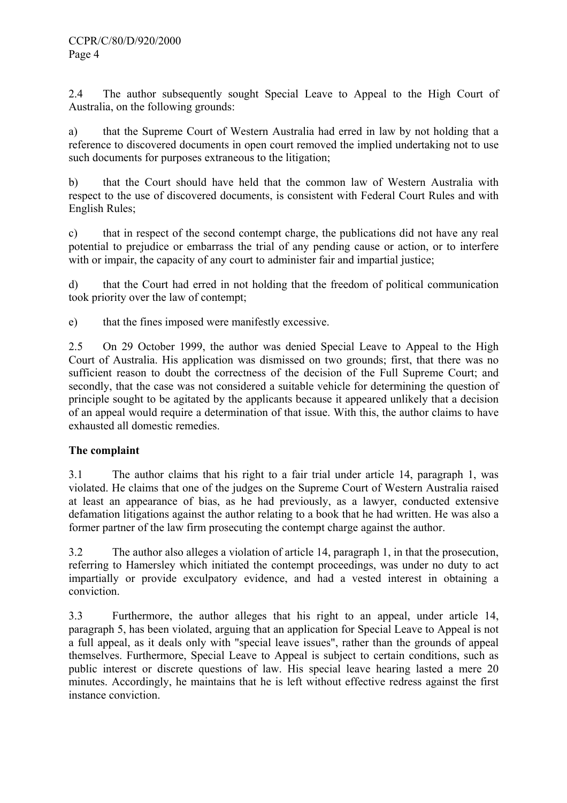2.4 The author subsequently sought Special Leave to Appeal to the High Court of Australia, on the following grounds:

a) that the Supreme Court of Western Australia had erred in law by not holding that a reference to discovered documents in open court removed the implied undertaking not to use such documents for purposes extraneous to the litigation;

b) that the Court should have held that the common law of Western Australia with respect to the use of discovered documents, is consistent with Federal Court Rules and with English Rules;

c) that in respect of the second contempt charge, the publications did not have any real potential to prejudice or embarrass the trial of any pending cause or action, or to interfere with or impair, the capacity of any court to administer fair and impartial justice;

d) that the Court had erred in not holding that the freedom of political communication took priority over the law of contempt;

e) that the fines imposed were manifestly excessive.

2.5 On 29 October 1999, the author was denied Special Leave to Appeal to the High Court of Australia. His application was dismissed on two grounds; first, that there was no sufficient reason to doubt the correctness of the decision of the Full Supreme Court; and secondly, that the case was not considered a suitable vehicle for determining the question of principle sought to be agitated by the applicants because it appeared unlikely that a decision of an appeal would require a determination of that issue. With this, the author claims to have exhausted all domestic remedies.

## **The complaint**

3.1 The author claims that his right to a fair trial under article 14, paragraph 1, was violated. He claims that one of the judges on the Supreme Court of Western Australia raised at least an appearance of bias, as he had previously, as a lawyer, conducted extensive defamation litigations against the author relating to a book that he had written. He was also a former partner of the law firm prosecuting the contempt charge against the author.

3.2 The author also alleges a violation of article 14, paragraph 1, in that the prosecution, referring to Hamersley which initiated the contempt proceedings, was under no duty to act impartially or provide exculpatory evidence, and had a vested interest in obtaining a conviction.

3.3 Furthermore, the author alleges that his right to an appeal, under article 14, paragraph 5, has been violated, arguing that an application for Special Leave to Appeal is not a full appeal, as it deals only with "special leave issues", rather than the grounds of appeal themselves. Furthermore, Special Leave to Appeal is subject to certain conditions, such as public interest or discrete questions of law. His special leave hearing lasted a mere 20 minutes. Accordingly, he maintains that he is left without effective redress against the first instance conviction.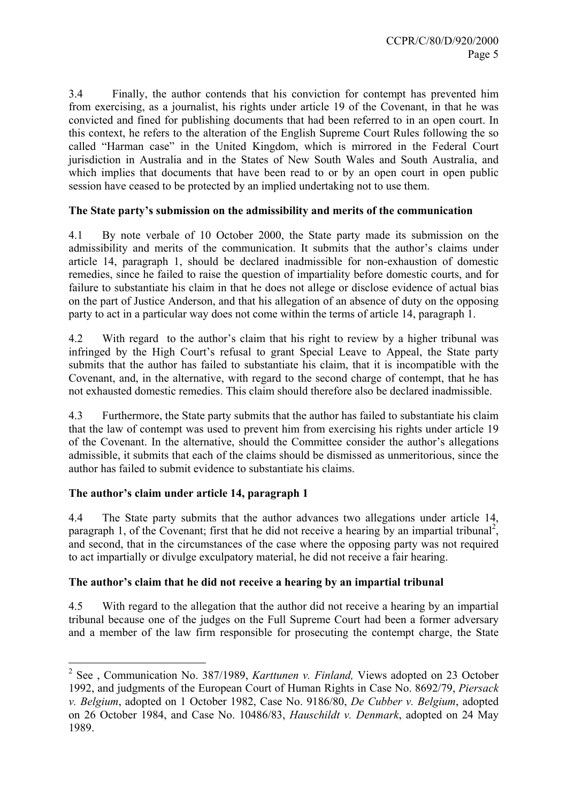3.4 Finally, the author contends that his conviction for contempt has prevented him from exercising, as a journalist, his rights under article 19 of the Covenant, in that he was convicted and fined for publishing documents that had been referred to in an open court. In this context, he refers to the alteration of the English Supreme Court Rules following the so called "Harman case" in the United Kingdom, which is mirrored in the Federal Court jurisdiction in Australia and in the States of New South Wales and South Australia, and which implies that documents that have been read to or by an open court in open public session have ceased to be protected by an implied undertaking not to use them.

## **The State party's submission on the admissibility and merits of the communication**

4.1 By note verbale of 10 October 2000, the State party made its submission on the admissibility and merits of the communication. It submits that the author's claims under article 14, paragraph 1, should be declared inadmissible for non-exhaustion of domestic remedies, since he failed to raise the question of impartiality before domestic courts, and for failure to substantiate his claim in that he does not allege or disclose evidence of actual bias on the part of Justice Anderson, and that his allegation of an absence of duty on the opposing party to act in a particular way does not come within the terms of article 14, paragraph 1.

4.2 With regard to the author's claim that his right to review by a higher tribunal was infringed by the High Court's refusal to grant Special Leave to Appeal, the State party submits that the author has failed to substantiate his claim, that it is incompatible with the Covenant, and, in the alternative, with regard to the second charge of contempt, that he has not exhausted domestic remedies. This claim should therefore also be declared inadmissible.

4.3 Furthermore, the State party submits that the author has failed to substantiate his claim that the law of contempt was used to prevent him from exercising his rights under article 19 of the Covenant. In the alternative, should the Committee consider the author's allegations admissible, it submits that each of the claims should be dismissed as unmeritorious, since the author has failed to submit evidence to substantiate his claims.

## **The author's claim under article 14, paragraph 1**

4.4 The State party submits that the author advances two allegations under article 14, paragraph 1, of the Covenant; first that he did not receive a hearing by an impartial tribunal<sup>2</sup>, and second, that in the circumstances of the case where the opposing party was not required to act impartially or divulge exculpatory material, he did not receive a fair hearing.

## **The author's claim that he did not receive a hearing by an impartial tribunal**

4.5 With regard to the allegation that the author did not receive a hearing by an impartial tribunal because one of the judges on the Full Supreme Court had been a former adversary and a member of the law firm responsible for prosecuting the contempt charge, the State

<span id="page-4-0"></span> 2 See , Communication No. 387/1989, *Karttunen v. Finland,* Views adopted on 23 October 1992, and judgments of the European Court of Human Rights in Case No. 8692/79, *Piersack v. Belgium*, adopted on 1 October 1982, Case No. 9186/80, *De Cubber v. Belgium*, adopted on 26 October 1984, and Case No. 10486/83, *Hauschildt v. Denmark*, adopted on 24 May 1989.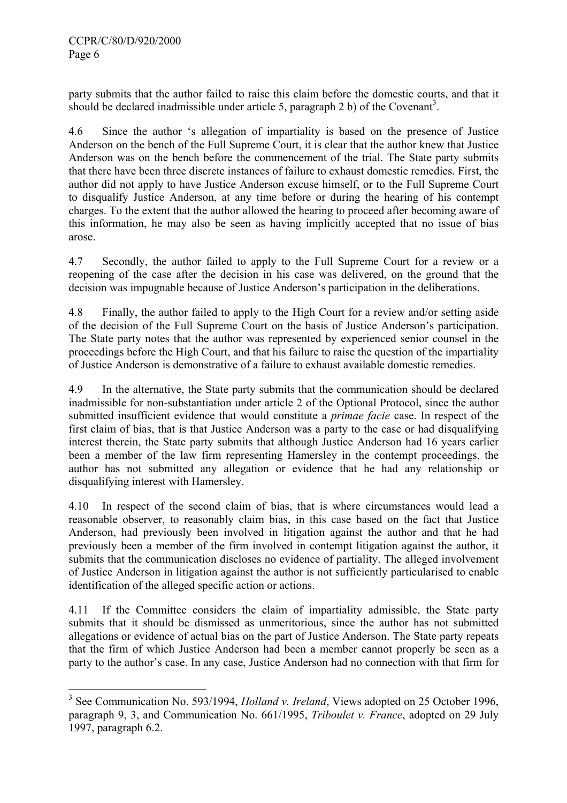party submits that the author failed to raise this claim before the domestic courts, and that it should be declared inadmissible under article 5, paragraph 2 b) of the Covenant<sup>[3](#page-5-0)</sup>.

4.6 Since the author 's allegation of impartiality is based on the presence of Justice Anderson on the bench of the Full Supreme Court, it is clear that the author knew that Justice Anderson was on the bench before the commencement of the trial. The State party submits that there have been three discrete instances of failure to exhaust domestic remedies. First, the author did not apply to have Justice Anderson excuse himself, or to the Full Supreme Court to disqualify Justice Anderson, at any time before or during the hearing of his contempt charges. To the extent that the author allowed the hearing to proceed after becoming aware of this information, he may also be seen as having implicitly accepted that no issue of bias arose.

4.7 Secondly, the author failed to apply to the Full Supreme Court for a review or a reopening of the case after the decision in his case was delivered, on the ground that the decision was impugnable because of Justice Anderson's participation in the deliberations.

4.8 Finally, the author failed to apply to the High Court for a review and/or setting aside of the decision of the Full Supreme Court on the basis of Justice Anderson's participation. The State party notes that the author was represented by experienced senior counsel in the proceedings before the High Court, and that his failure to raise the question of the impartiality of Justice Anderson is demonstrative of a failure to exhaust available domestic remedies.

4.9 In the alternative, the State party submits that the communication should be declared inadmissible for non-substantiation under article 2 of the Optional Protocol, since the author submitted insufficient evidence that would constitute a *primae facie* case. In respect of the first claim of bias, that is that Justice Anderson was a party to the case or had disqualifying interest therein, the State party submits that although Justice Anderson had 16 years earlier been a member of the law firm representing Hamersley in the contempt proceedings, the author has not submitted any allegation or evidence that he had any relationship or disqualifying interest with Hamersley.

4.10 In respect of the second claim of bias, that is where circumstances would lead a reasonable observer, to reasonably claim bias, in this case based on the fact that Justice Anderson, had previously been involved in litigation against the author and that he had previously been a member of the firm involved in contempt litigation against the author, it submits that the communication discloses no evidence of partiality. The alleged involvement of Justice Anderson in litigation against the author is not sufficiently particularised to enable identification of the alleged specific action or actions.

4.11 If the Committee considers the claim of impartiality admissible, the State party submits that it should be dismissed as unmeritorious, since the author has not submitted allegations or evidence of actual bias on the part of Justice Anderson. The State party repeats that the firm of which Justice Anderson had been a member cannot properly be seen as a party to the author's case. In any case, Justice Anderson had no connection with that firm for

<span id="page-5-0"></span> 3 See Communication No. 593/1994, *Holland v. Ireland*, Views adopted on 25 October 1996, paragraph 9, 3, and Communication No. 661/1995, *Triboulet v. France*, adopted on 29 July 1997, paragraph 6.2.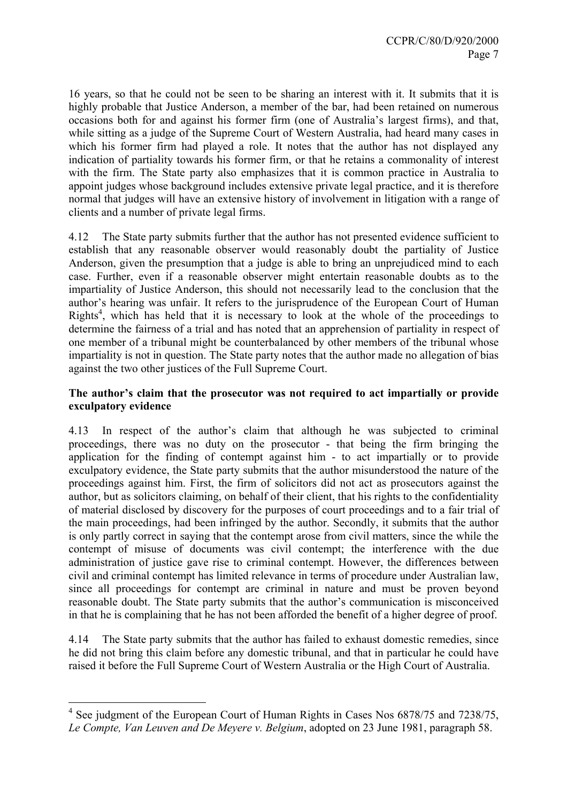16 years, so that he could not be seen to be sharing an interest with it. It submits that it is highly probable that Justice Anderson, a member of the bar, had been retained on numerous occasions both for and against his former firm (one of Australia's largest firms), and that, while sitting as a judge of the Supreme Court of Western Australia, had heard many cases in which his former firm had played a role. It notes that the author has not displayed any indication of partiality towards his former firm, or that he retains a commonality of interest with the firm. The State party also emphasizes that it is common practice in Australia to appoint judges whose background includes extensive private legal practice, and it is therefore normal that judges will have an extensive history of involvement in litigation with a range of clients and a number of private legal firms.

4.12 The State party submits further that the author has not presented evidence sufficient to establish that any reasonable observer would reasonably doubt the partiality of Justice Anderson, given the presumption that a judge is able to bring an unprejudiced mind to each case. Further, even if a reasonable observer might entertain reasonable doubts as to the impartiality of Justice Anderson, this should not necessarily lead to the conclusion that the author's hearing was unfair. It refers to the jurisprudence of the European Court of Human Rights<sup>[4](#page-6-0)</sup>, which has held that it is necessary to look at the whole of the proceedings to determine the fairness of a trial and has noted that an apprehension of partiality in respect of one member of a tribunal might be counterbalanced by other members of the tribunal whose impartiality is not in question. The State party notes that the author made no allegation of bias against the two other justices of the Full Supreme Court.

## **The author's claim that the prosecutor was not required to act impartially or provide exculpatory evidence**

4.13 In respect of the author's claim that although he was subjected to criminal proceedings, there was no duty on the prosecutor - that being the firm bringing the application for the finding of contempt against him - to act impartially or to provide exculpatory evidence, the State party submits that the author misunderstood the nature of the proceedings against him. First, the firm of solicitors did not act as prosecutors against the author, but as solicitors claiming, on behalf of their client, that his rights to the confidentiality of material disclosed by discovery for the purposes of court proceedings and to a fair trial of the main proceedings, had been infringed by the author. Secondly, it submits that the author is only partly correct in saying that the contempt arose from civil matters, since the while the contempt of misuse of documents was civil contempt; the interference with the due administration of justice gave rise to criminal contempt. However, the differences between civil and criminal contempt has limited relevance in terms of procedure under Australian law, since all proceedings for contempt are criminal in nature and must be proven beyond reasonable doubt. The State party submits that the author's communication is misconceived in that he is complaining that he has not been afforded the benefit of a higher degree of proof.

4.14 The State party submits that the author has failed to exhaust domestic remedies, since he did not bring this claim before any domestic tribunal, and that in particular he could have raised it before the Full Supreme Court of Western Australia or the High Court of Australia.

<span id="page-6-0"></span><sup>&</sup>lt;sup>4</sup> See judgment of the European Court of Human Rights in Cases Nos 6878/75 and 7238/75, *Le Compte, Van Leuven and De Meyere v. Belgium*, adopted on 23 June 1981, paragraph 58.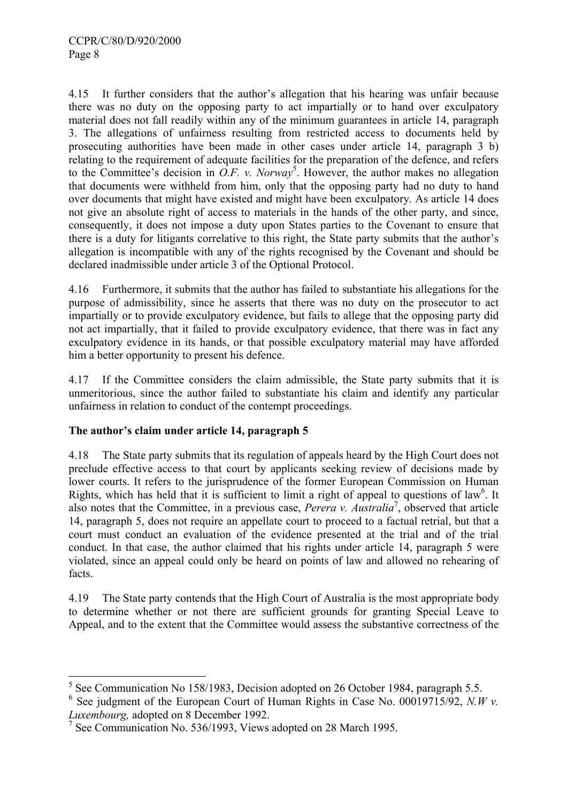4.15 It further considers that the author's allegation that his hearing was unfair because there was no duty on the opposing party to act impartially or to hand over exculpatory material does not fall readily within any of the minimum guarantees in article 14, paragraph 3. The allegations of unfairness resulting from restricted access to documents held by prosecuting authorities have been made in other cases under article 14, paragraph 3 b) relating to the requirement of adequate facilities for the preparation of the defence, and refers to the Committee's decision in  $\overline{O.F.}$  v. Norway<sup>[5](#page-7-0)</sup>. However, the author makes no allegation that documents were withheld from him, only that the opposing party had no duty to hand over documents that might have existed and might have been exculpatory. As article 14 does not give an absolute right of access to materials in the hands of the other party, and since, consequently, it does not impose a duty upon States parties to the Covenant to ensure that there is a duty for litigants correlative to this right, the State party submits that the author's allegation is incompatible with any of the rights recognised by the Covenant and should be declared inadmissible under article 3 of the Optional Protocol.

4.16 Furthermore, it submits that the author has failed to substantiate his allegations for the purpose of admissibility, since he asserts that there was no duty on the prosecutor to act impartially or to provide exculpatory evidence, but fails to allege that the opposing party did not act impartially, that it failed to provide exculpatory evidence, that there was in fact any exculpatory evidence in its hands, or that possible exculpatory material may have afforded him a better opportunity to present his defence.

4.17 If the Committee considers the claim admissible, the State party submits that it is unmeritorious, since the author failed to substantiate his claim and identify any particular unfairness in relation to conduct of the contempt proceedings.

# **The author's claim under article 14, paragraph 5**

 $\overline{a}$ 

4.18 The State party submits that its regulation of appeals heard by the High Court does not preclude effective access to that court by applicants seeking review of decisions made by lower courts. It refers to the jurisprudence of the former European Commission on Human Rights, which has held that it is sufficient to limit a right of appeal to questions of law<sup>[6](#page-7-1)</sup>. It also notes that the Committee, in a previous case, *Perera v. Australia*[7](#page-7-2) , observed that article 14, paragraph 5, does not require an appellate court to proceed to a factual retrial, but that a court must conduct an evaluation of the evidence presented at the trial and of the trial conduct. In that case, the author claimed that his rights under article 14, paragraph 5 were violated, since an appeal could only be heard on points of law and allowed no rehearing of facts.

4.19 The State party contends that the High Court of Australia is the most appropriate body to determine whether or not there are sufficient grounds for granting Special Leave to Appeal, and to the extent that the Committee would assess the substantive correctness of the

<span id="page-7-0"></span><sup>&</sup>lt;sup>5</sup> See Communication No 158/1983, Decision adopted on 26 October 1984, paragraph 5.5.

<span id="page-7-1"></span> $6$  See judgment of the European Court of Human Rights in Case No. 00019715/92, *N.W v. Luxembourg,* adopted on 8 December 1992.

<span id="page-7-2"></span><sup>7</sup> See Communication No. 536/1993, Views adopted on 28 March 1995.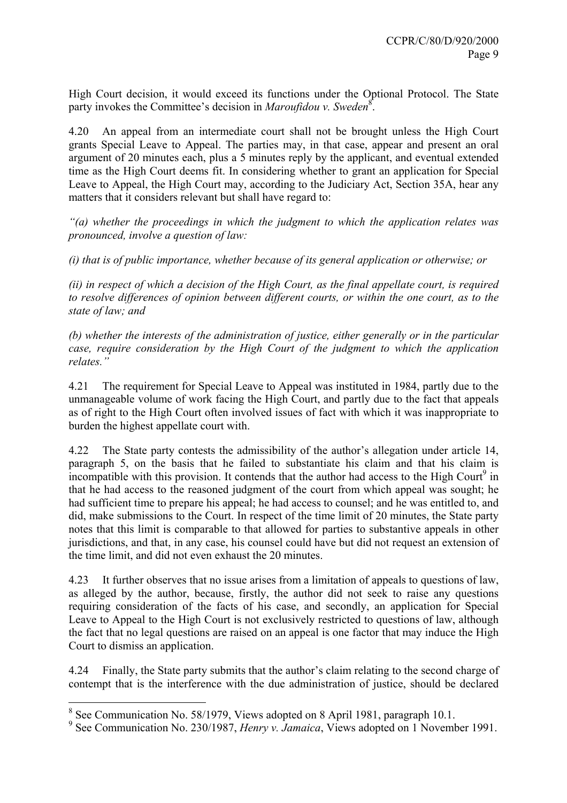High Court decision, it would exceed its functions under the Optional Protocol. The State party invokes the Committee's decision in *Maroufidou v. Sweden*<sup>[8](#page-8-0)</sup>.

4.20 An appeal from an intermediate court shall not be brought unless the High Court grants Special Leave to Appeal. The parties may, in that case, appear and present an oral argument of 20 minutes each, plus a 5 minutes reply by the applicant, and eventual extended time as the High Court deems fit. In considering whether to grant an application for Special Leave to Appeal, the High Court may, according to the Judiciary Act, Section 35A, hear any matters that it considers relevant but shall have regard to:

*"(a) whether the proceedings in which the judgment to which the application relates was pronounced, involve a question of law:* 

*(i) that is of public importance, whether because of its general application or otherwise; or* 

*(ii) in respect of which a decision of the High Court, as the final appellate court, is required to resolve differences of opinion between different courts, or within the one court, as to the state of law; and* 

*(b) whether the interests of the administration of justice, either generally or in the particular case, require consideration by the High Court of the judgment to which the application relates."* 

4.21 The requirement for Special Leave to Appeal was instituted in 1984, partly due to the unmanageable volume of work facing the High Court, and partly due to the fact that appeals as of right to the High Court often involved issues of fact with which it was inappropriate to burden the highest appellate court with.

4.22 The State party contests the admissibility of the author's allegation under article 14, paragraph 5, on the basis that he failed to substantiate his claim and that his claim is incompatible with this provision. It contends that the author had access to the High Court<sup>[9](#page-8-1)</sup> in that he had access to the reasoned judgment of the court from which appeal was sought; he had sufficient time to prepare his appeal; he had access to counsel; and he was entitled to, and did, make submissions to the Court. In respect of the time limit of 20 minutes, the State party notes that this limit is comparable to that allowed for parties to substantive appeals in other jurisdictions, and that, in any case, his counsel could have but did not request an extension of the time limit, and did not even exhaust the 20 minutes.

4.23 It further observes that no issue arises from a limitation of appeals to questions of law, as alleged by the author, because, firstly, the author did not seek to raise any questions requiring consideration of the facts of his case, and secondly, an application for Special Leave to Appeal to the High Court is not exclusively restricted to questions of law, although the fact that no legal questions are raised on an appeal is one factor that may induce the High Court to dismiss an application.

4.24 Finally, the State party submits that the author's claim relating to the second charge of contempt that is the interference with the due administration of justice, should be declared

<span id="page-8-0"></span><sup>&</sup>lt;sup>8</sup> See Communication No. 58/1979, Views adopted on 8 April 1981, paragraph 10.1.

<span id="page-8-1"></span><sup>9</sup> See Communication No. 230/1987, *Henry v. Jamaica*, Views adopted on 1 November 1991.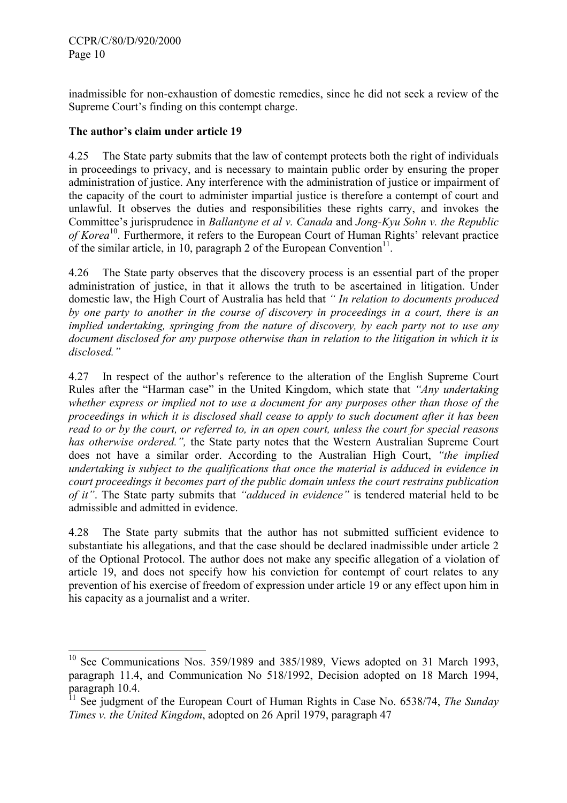$\overline{a}$ 

inadmissible for non-exhaustion of domestic remedies, since he did not seek a review of the Supreme Court's finding on this contempt charge.

## **The author's claim under article 19**

4.25 The State party submits that the law of contempt protects both the right of individuals in proceedings to privacy, and is necessary to maintain public order by ensuring the proper administration of justice. Any interference with the administration of justice or impairment of the capacity of the court to administer impartial justice is therefore a contempt of court and unlawful. It observes the duties and responsibilities these rights carry, and invokes the Committee's jurisprudence in *Ballantyne et al v. Canada* and *Jong-Kyu Sohn v. the Republic of Korea*<sup>10</sup>. Furthermore, it refers to the European Court of Human Rights' relevant practice of the similar article, in 10, paragraph 2 of the European Convention<sup>11</sup>.

4.26 The State party observes that the discovery process is an essential part of the proper administration of justice, in that it allows the truth to be ascertained in litigation. Under domestic law, the High Court of Australia has held that *" In relation to documents produced by one party to another in the course of discovery in proceedings in a court, there is an implied undertaking, springing from the nature of discovery, by each party not to use any document disclosed for any purpose otherwise than in relation to the litigation in which it is disclosed."*

4.27 In respect of the author's reference to the alteration of the English Supreme Court Rules after the "Harman case" in the United Kingdom, which state that *"Any undertaking whether express or implied not to use a document for any purposes other than those of the proceedings in which it is disclosed shall cease to apply to such document after it has been read to or by the court, or referred to, in an open court, unless the court for special reasons has otherwise ordered.",* the State party notes that the Western Australian Supreme Court does not have a similar order. According to the Australian High Court, *"the implied undertaking is subject to the qualifications that once the material is adduced in evidence in court proceedings it becomes part of the public domain unless the court restrains publication of it"*. The State party submits that *"adduced in evidence"* is tendered material held to be admissible and admitted in evidence.

4.28 The State party submits that the author has not submitted sufficient evidence to substantiate his allegations, and that the case should be declared inadmissible under article 2 of the Optional Protocol. The author does not make any specific allegation of a violation of article 19, and does not specify how his conviction for contempt of court relates to any prevention of his exercise of freedom of expression under article 19 or any effect upon him in his capacity as a journalist and a writer.

<span id="page-9-0"></span><sup>&</sup>lt;sup>10</sup> See Communications Nos. 359/1989 and 385/1989, Views adopted on 31 March 1993, paragraph 11.4, and Communication No 518/1992, Decision adopted on 18 March 1994, paragraph 10.4.

<span id="page-9-1"></span><sup>&</sup>lt;sup>11</sup> See judgment of the European Court of Human Rights in Case No. 6538/74, *The Sunday Times v. the United Kingdom*, adopted on 26 April 1979, paragraph 47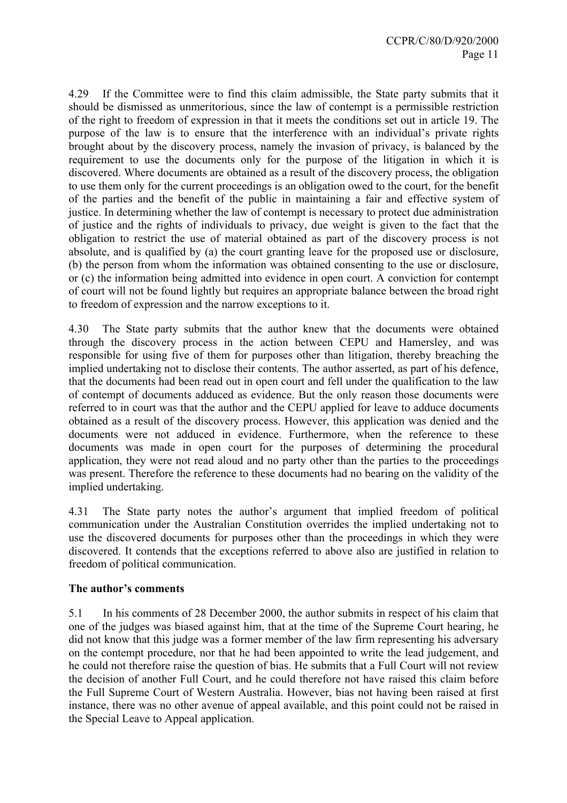4.29 If the Committee were to find this claim admissible, the State party submits that it should be dismissed as unmeritorious, since the law of contempt is a permissible restriction of the right to freedom of expression in that it meets the conditions set out in article 19. The purpose of the law is to ensure that the interference with an individual's private rights brought about by the discovery process, namely the invasion of privacy, is balanced by the requirement to use the documents only for the purpose of the litigation in which it is discovered. Where documents are obtained as a result of the discovery process, the obligation to use them only for the current proceedings is an obligation owed to the court, for the benefit of the parties and the benefit of the public in maintaining a fair and effective system of justice. In determining whether the law of contempt is necessary to protect due administration of justice and the rights of individuals to privacy, due weight is given to the fact that the obligation to restrict the use of material obtained as part of the discovery process is not absolute, and is qualified by (a) the court granting leave for the proposed use or disclosure, (b) the person from whom the information was obtained consenting to the use or disclosure, or (c) the information being admitted into evidence in open court. A conviction for contempt of court will not be found lightly but requires an appropriate balance between the broad right to freedom of expression and the narrow exceptions to it.

4.30 The State party submits that the author knew that the documents were obtained through the discovery process in the action between CEPU and Hamersley, and was responsible for using five of them for purposes other than litigation, thereby breaching the implied undertaking not to disclose their contents. The author asserted, as part of his defence, that the documents had been read out in open court and fell under the qualification to the law of contempt of documents adduced as evidence. But the only reason those documents were referred to in court was that the author and the CEPU applied for leave to adduce documents obtained as a result of the discovery process. However, this application was denied and the documents were not adduced in evidence. Furthermore, when the reference to these documents was made in open court for the purposes of determining the procedural application, they were not read aloud and no party other than the parties to the proceedings was present. Therefore the reference to these documents had no bearing on the validity of the implied undertaking.

4.31 The State party notes the author's argument that implied freedom of political communication under the Australian Constitution overrides the implied undertaking not to use the discovered documents for purposes other than the proceedings in which they were discovered. It contends that the exceptions referred to above also are justified in relation to freedom of political communication.

## **The author's comments**

5.1 In his comments of 28 December 2000, the author submits in respect of his claim that one of the judges was biased against him, that at the time of the Supreme Court hearing, he did not know that this judge was a former member of the law firm representing his adversary on the contempt procedure, nor that he had been appointed to write the lead judgement, and he could not therefore raise the question of bias. He submits that a Full Court will not review the decision of another Full Court, and he could therefore not have raised this claim before the Full Supreme Court of Western Australia. However, bias not having been raised at first instance, there was no other avenue of appeal available, and this point could not be raised in the Special Leave to Appeal application.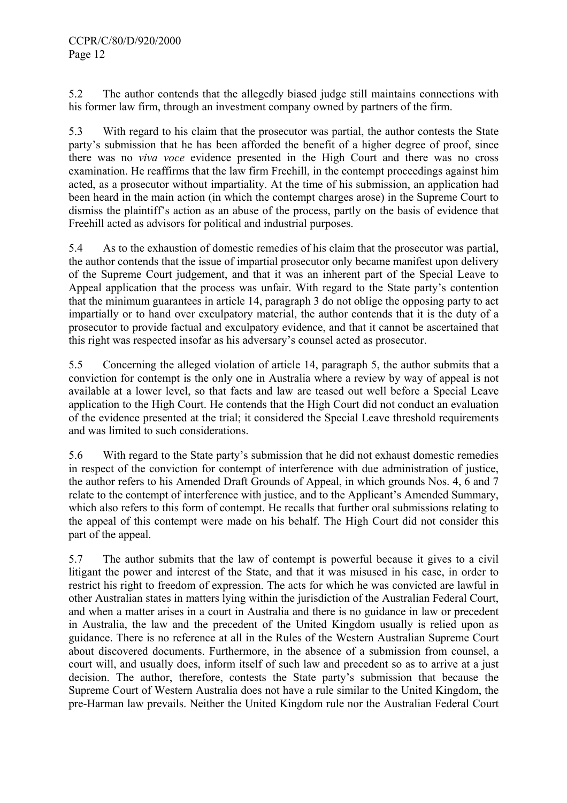5.2 The author contends that the allegedly biased judge still maintains connections with his former law firm, through an investment company owned by partners of the firm.

5.3 With regard to his claim that the prosecutor was partial, the author contests the State party's submission that he has been afforded the benefit of a higher degree of proof, since there was no *viva voce* evidence presented in the High Court and there was no cross examination. He reaffirms that the law firm Freehill, in the contempt proceedings against him acted, as a prosecutor without impartiality. At the time of his submission, an application had been heard in the main action (in which the contempt charges arose) in the Supreme Court to dismiss the plaintiff's action as an abuse of the process, partly on the basis of evidence that Freehill acted as advisors for political and industrial purposes.

5.4 As to the exhaustion of domestic remedies of his claim that the prosecutor was partial, the author contends that the issue of impartial prosecutor only became manifest upon delivery of the Supreme Court judgement, and that it was an inherent part of the Special Leave to Appeal application that the process was unfair. With regard to the State party's contention that the minimum guarantees in article 14, paragraph 3 do not oblige the opposing party to act impartially or to hand over exculpatory material, the author contends that it is the duty of a prosecutor to provide factual and exculpatory evidence, and that it cannot be ascertained that this right was respected insofar as his adversary's counsel acted as prosecutor.

5.5 Concerning the alleged violation of article 14, paragraph 5, the author submits that a conviction for contempt is the only one in Australia where a review by way of appeal is not available at a lower level, so that facts and law are teased out well before a Special Leave application to the High Court. He contends that the High Court did not conduct an evaluation of the evidence presented at the trial; it considered the Special Leave threshold requirements and was limited to such considerations.

5.6 With regard to the State party's submission that he did not exhaust domestic remedies in respect of the conviction for contempt of interference with due administration of justice, the author refers to his Amended Draft Grounds of Appeal, in which grounds Nos. 4, 6 and 7 relate to the contempt of interference with justice, and to the Applicant's Amended Summary, which also refers to this form of contempt. He recalls that further oral submissions relating to the appeal of this contempt were made on his behalf. The High Court did not consider this part of the appeal.

5.7 The author submits that the law of contempt is powerful because it gives to a civil litigant the power and interest of the State, and that it was misused in his case, in order to restrict his right to freedom of expression. The acts for which he was convicted are lawful in other Australian states in matters lying within the jurisdiction of the Australian Federal Court, and when a matter arises in a court in Australia and there is no guidance in law or precedent in Australia, the law and the precedent of the United Kingdom usually is relied upon as guidance. There is no reference at all in the Rules of the Western Australian Supreme Court about discovered documents. Furthermore, in the absence of a submission from counsel, a court will, and usually does, inform itself of such law and precedent so as to arrive at a just decision. The author, therefore, contests the State party's submission that because the Supreme Court of Western Australia does not have a rule similar to the United Kingdom, the pre-Harman law prevails. Neither the United Kingdom rule nor the Australian Federal Court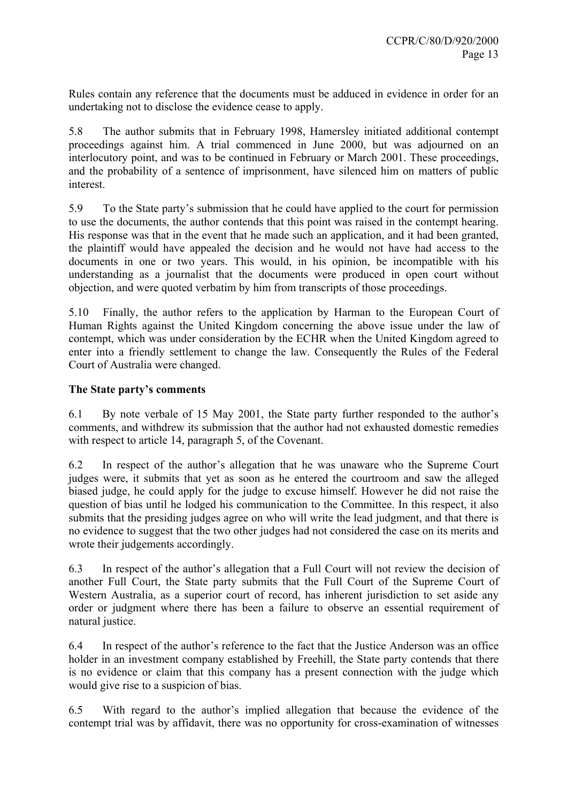Rules contain any reference that the documents must be adduced in evidence in order for an undertaking not to disclose the evidence cease to apply.

5.8 The author submits that in February 1998, Hamersley initiated additional contempt proceedings against him. A trial commenced in June 2000, but was adjourned on an interlocutory point, and was to be continued in February or March 2001. These proceedings, and the probability of a sentence of imprisonment, have silenced him on matters of public interest.

5.9 To the State party's submission that he could have applied to the court for permission to use the documents, the author contends that this point was raised in the contempt hearing. His response was that in the event that he made such an application, and it had been granted, the plaintiff would have appealed the decision and he would not have had access to the documents in one or two years. This would, in his opinion, be incompatible with his understanding as a journalist that the documents were produced in open court without objection, and were quoted verbatim by him from transcripts of those proceedings.

5.10 Finally, the author refers to the application by Harman to the European Court of Human Rights against the United Kingdom concerning the above issue under the law of contempt, which was under consideration by the ECHR when the United Kingdom agreed to enter into a friendly settlement to change the law. Consequently the Rules of the Federal Court of Australia were changed.

## **The State party's comments**

6.1 By note verbale of 15 May 2001, the State party further responded to the author's comments, and withdrew its submission that the author had not exhausted domestic remedies with respect to article 14, paragraph 5, of the Covenant.

6.2 In respect of the author's allegation that he was unaware who the Supreme Court judges were, it submits that yet as soon as he entered the courtroom and saw the alleged biased judge, he could apply for the judge to excuse himself. However he did not raise the question of bias until he lodged his communication to the Committee. In this respect, it also submits that the presiding judges agree on who will write the lead judgment, and that there is no evidence to suggest that the two other judges had not considered the case on its merits and wrote their judgements accordingly.

6.3 In respect of the author's allegation that a Full Court will not review the decision of another Full Court, the State party submits that the Full Court of the Supreme Court of Western Australia, as a superior court of record, has inherent jurisdiction to set aside any order or judgment where there has been a failure to observe an essential requirement of natural justice.

6.4 In respect of the author's reference to the fact that the Justice Anderson was an office holder in an investment company established by Freehill, the State party contends that there is no evidence or claim that this company has a present connection with the judge which would give rise to a suspicion of bias.

6.5 With regard to the author's implied allegation that because the evidence of the contempt trial was by affidavit, there was no opportunity for cross-examination of witnesses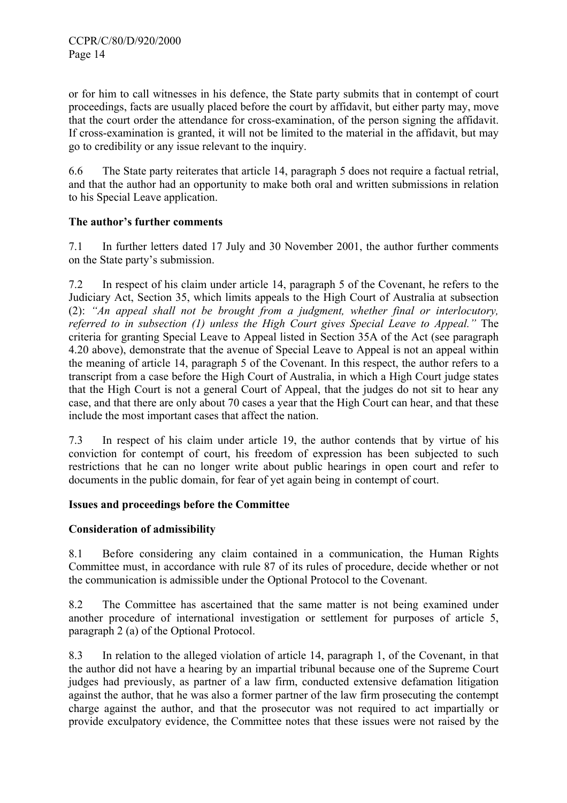or for him to call witnesses in his defence, the State party submits that in contempt of court proceedings, facts are usually placed before the court by affidavit, but either party may, move that the court order the attendance for cross-examination, of the person signing the affidavit. If cross-examination is granted, it will not be limited to the material in the affidavit, but may go to credibility or any issue relevant to the inquiry.

6.6 The State party reiterates that article 14, paragraph 5 does not require a factual retrial, and that the author had an opportunity to make both oral and written submissions in relation to his Special Leave application.

## **The author's further comments**

7.1 In further letters dated 17 July and 30 November 2001, the author further comments on the State party's submission.

7.2 In respect of his claim under article 14, paragraph 5 of the Covenant, he refers to the Judiciary Act, Section 35, which limits appeals to the High Court of Australia at subsection (2): *"An appeal shall not be brought from a judgment, whether final or interlocutory, referred to in subsection (1) unless the High Court gives Special Leave to Appeal."* The criteria for granting Special Leave to Appeal listed in Section 35A of the Act (see paragraph 4.20 above), demonstrate that the avenue of Special Leave to Appeal is not an appeal within the meaning of article 14, paragraph 5 of the Covenant. In this respect, the author refers to a transcript from a case before the High Court of Australia, in which a High Court judge states that the High Court is not a general Court of Appeal, that the judges do not sit to hear any case, and that there are only about 70 cases a year that the High Court can hear, and that these include the most important cases that affect the nation.

7.3 In respect of his claim under article 19, the author contends that by virtue of his conviction for contempt of court, his freedom of expression has been subjected to such restrictions that he can no longer write about public hearings in open court and refer to documents in the public domain, for fear of yet again being in contempt of court.

### **Issues and proceedings before the Committee**

## **Consideration of admissibility**

8.1 Before considering any claim contained in a communication, the Human Rights Committee must, in accordance with rule 87 of its rules of procedure, decide whether or not the communication is admissible under the Optional Protocol to the Covenant.

8.2 The Committee has ascertained that the same matter is not being examined under another procedure of international investigation or settlement for purposes of article 5, paragraph 2 (a) of the Optional Protocol.

8.3 In relation to the alleged violation of article 14, paragraph 1, of the Covenant, in that the author did not have a hearing by an impartial tribunal because one of the Supreme Court judges had previously, as partner of a law firm, conducted extensive defamation litigation against the author, that he was also a former partner of the law firm prosecuting the contempt charge against the author, and that the prosecutor was not required to act impartially or provide exculpatory evidence, the Committee notes that these issues were not raised by the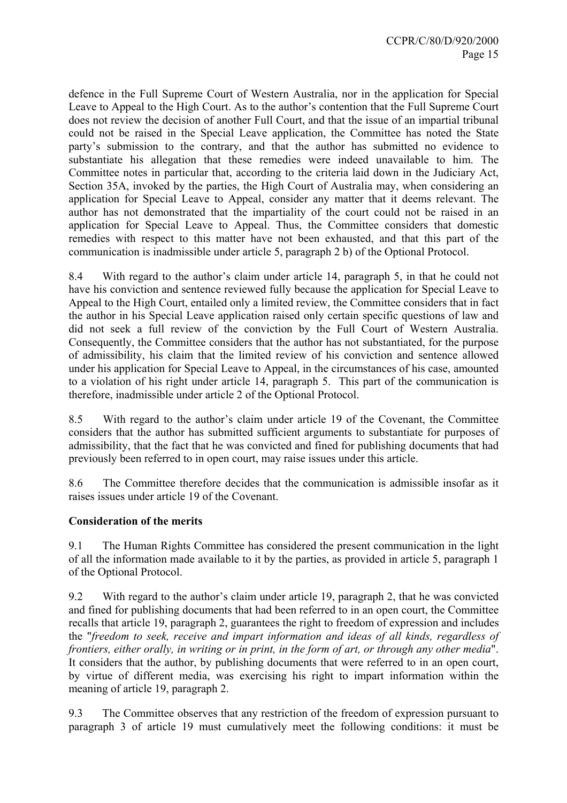defence in the Full Supreme Court of Western Australia, nor in the application for Special Leave to Appeal to the High Court. As to the author's contention that the Full Supreme Court does not review the decision of another Full Court, and that the issue of an impartial tribunal could not be raised in the Special Leave application, the Committee has noted the State party's submission to the contrary, and that the author has submitted no evidence to substantiate his allegation that these remedies were indeed unavailable to him. The Committee notes in particular that, according to the criteria laid down in the Judiciary Act, Section 35A, invoked by the parties, the High Court of Australia may, when considering an application for Special Leave to Appeal, consider any matter that it deems relevant. The author has not demonstrated that the impartiality of the court could not be raised in an application for Special Leave to Appeal. Thus, the Committee considers that domestic remedies with respect to this matter have not been exhausted, and that this part of the communication is inadmissible under article 5, paragraph 2 b) of the Optional Protocol.

8.4With regard to the author's claim under article 14, paragraph 5, in that he could not have his conviction and sentence reviewed fully because the application for Special Leave to Appeal to the High Court, entailed only a limited review, the Committee considers that in fact the author in his Special Leave application raised only certain specific questions of law and did not seek a full review of the conviction by the Full Court of Western Australia. Consequently, the Committee considers that the author has not substantiated, for the purpose of admissibility, his claim that the limited review of his conviction and sentence allowed under his application for Special Leave to Appeal, in the circumstances of his case, amounted to a violation of his right under article 14, paragraph 5. This part of the communication is therefore, inadmissible under article 2 of the Optional Protocol.

8.5 With regard to the author's claim under article 19 of the Covenant, the Committee considers that the author has submitted sufficient arguments to substantiate for purposes of admissibility, that the fact that he was convicted and fined for publishing documents that had previously been referred to in open court, may raise issues under this article.

8.6 The Committee therefore decides that the communication is admissible insofar as it raises issues under article 19 of the Covenant.

## **Consideration of the merits**

9.1 The Human Rights Committee has considered the present communication in the light of all the information made available to it by the parties, as provided in article 5, paragraph 1 of the Optional Protocol.

9.2 With regard to the author's claim under article 19, paragraph 2, that he was convicted and fined for publishing documents that had been referred to in an open court, the Committee recalls that article 19, paragraph 2, guarantees the right to freedom of expression and includes the "*freedom to seek, receive and impart information and ideas of all kinds, regardless of frontiers, either orally, in writing or in print, in the form of art, or through any other media*". It considers that the author, by publishing documents that were referred to in an open court, by virtue of different media, was exercising his right to impart information within the meaning of article 19, paragraph 2.

9.3 The Committee observes that any restriction of the freedom of expression pursuant to paragraph 3 of article 19 must cumulatively meet the following conditions: it must be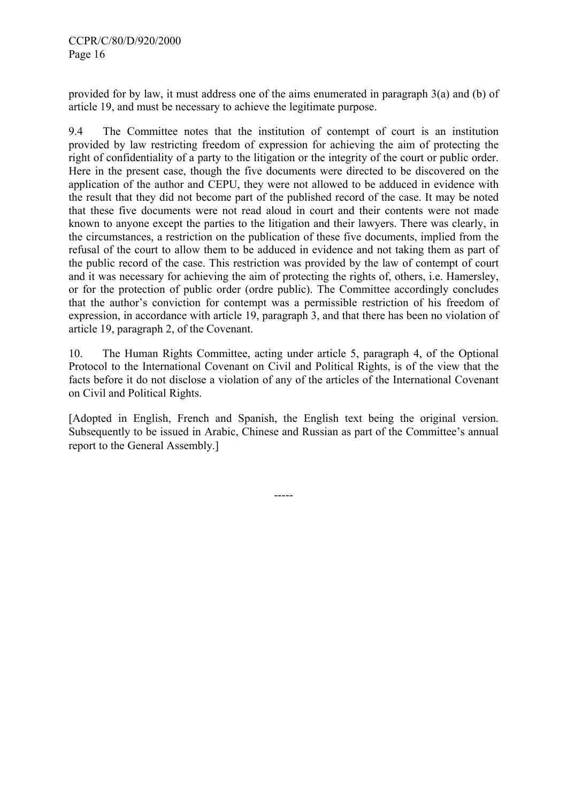provided for by law, it must address one of the aims enumerated in paragraph 3(a) and (b) of article 19, and must be necessary to achieve the legitimate purpose.

9.4 The Committee notes that the institution of contempt of court is an institution provided by law restricting freedom of expression for achieving the aim of protecting the right of confidentiality of a party to the litigation or the integrity of the court or public order. Here in the present case, though the five documents were directed to be discovered on the application of the author and CEPU, they were not allowed to be adduced in evidence with the result that they did not become part of the published record of the case. It may be noted that these five documents were not read aloud in court and their contents were not made known to anyone except the parties to the litigation and their lawyers. There was clearly, in the circumstances, a restriction on the publication of these five documents, implied from the refusal of the court to allow them to be adduced in evidence and not taking them as part of the public record of the case. This restriction was provided by the law of contempt of court and it was necessary for achieving the aim of protecting the rights of, others, i.e. Hamersley, or for the protection of public order (ordre public). The Committee accordingly concludes that the author's conviction for contempt was a permissible restriction of his freedom of expression, in accordance with article 19, paragraph 3, and that there has been no violation of article 19, paragraph 2, of the Covenant.

10. The Human Rights Committee, acting under article 5, paragraph 4, of the Optional Protocol to the International Covenant on Civil and Political Rights, is of the view that the facts before it do not disclose a violation of any of the articles of the International Covenant on Civil and Political Rights.

[Adopted in English, French and Spanish, the English text being the original version. Subsequently to be issued in Arabic, Chinese and Russian as part of the Committee's annual report to the General Assembly.]

-----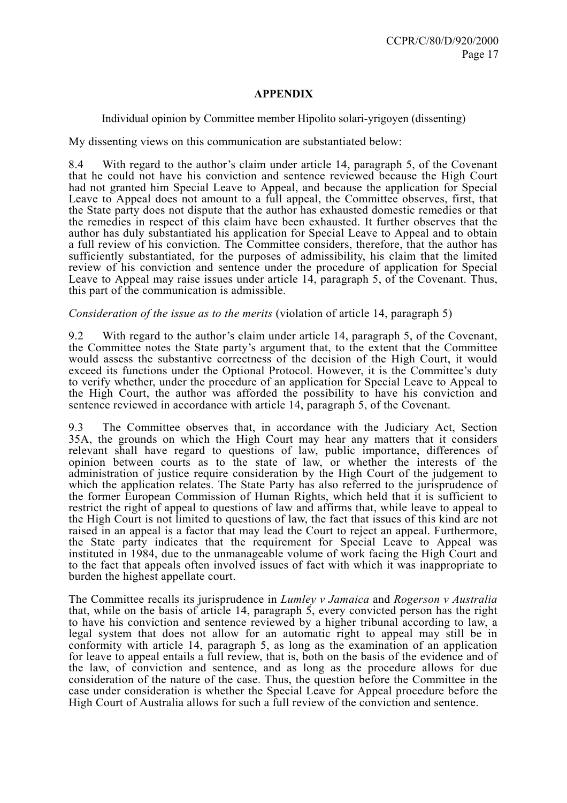## **APPENDIX**

### Individual opinion by Committee member Hipolito solari-yrigoyen (dissenting)

My dissenting views on this communication are substantiated below:

8.4 With regard to the author's claim under article 14, paragraph 5, of the Covenant that he could not have his conviction and sentence reviewed because the High Court had not granted him Special Leave to Appeal, and because the application for Special Leave to Appeal does not amount to a full appeal, the Committee observes, first, that the State party does not dispute that the author has exhausted domestic remedies or that the remedies in respect of this claim have been exhausted. It further observes that the author has duly substantiated his application for Special Leave to Appeal and to obtain a full review of his conviction. The Committee considers, therefore, that the author has sufficiently substantiated, for the purposes of admissibility, his claim that the limited review of his conviction and sentence under the procedure of application for Special Leave to Appeal may raise issues under article 14, paragraph 5, of the Covenant. Thus, this part of the communication is admissible.

### *Consideration of the issue as to the merits* (violation of article 14, paragraph 5)

9.2 With regard to the author's claim under article 14, paragraph 5, of the Covenant, the Committee notes the State party's argument that, to the extent that the Committee would assess the substantive correctness of the decision of the High Court, it would exceed its functions under the Optional Protocol. However, it is the Committee's duty to verify whether, under the procedure of an application for Special Leave to Appeal to the High Court, the author was afforded the possibility to have his conviction and sentence reviewed in accordance with article 14, paragraph 5, of the Covenant.

9.3 The Committee observes that, in accordance with the Judiciary Act, Section 35A, the grounds on which the High Court may hear any matters that it considers relevant shall have regard to questions of law, public importance, differences of opinion between courts as to the state of law, or whether the interests of the administration of justice require consideration by the High Court of the judgement to which the application relates. The State Party has also referred to the jurisprudence of the former European Commission of Human Rights, which held that it is sufficient to restrict the right of appeal to questions of law and affirms that, while leave to appeal to the High Court is not limited to questions of law, the fact that issues of this kind are not raised in an appeal is a factor that may lead the Court to reject an appeal. Furthermore, the State party indicates that the requirement for Special Leave to Appeal was instituted in 1984, due to the unmanageable volume of work facing the High Court and to the fact that appeals often involved issues of fact with which it was inappropriate to burden the highest appellate court.

 The Committee recalls its jurisprudence in *Lumley v Jamaica* and *Rogerson v Australia*  that, while on the basis of article 14, paragraph  $\tilde{5}$ , every convicted person has the right to have his conviction and sentence reviewed by a higher tribunal according to law, a legal system that does not allow for an automatic right to appeal may still be in conformity with article 14, paragraph 5, as long as the examination of an application for leave to appeal entails a full review, that is, both on the basis of the evidence and of the law, of conviction and sentence, and as long as the procedure allows for due consideration of the nature of the case. Thus, the question before the Committee in the case under consideration is whether the Special Leave for Appeal procedure before the High Court of Australia allows for such a full review of the conviction and sentence.